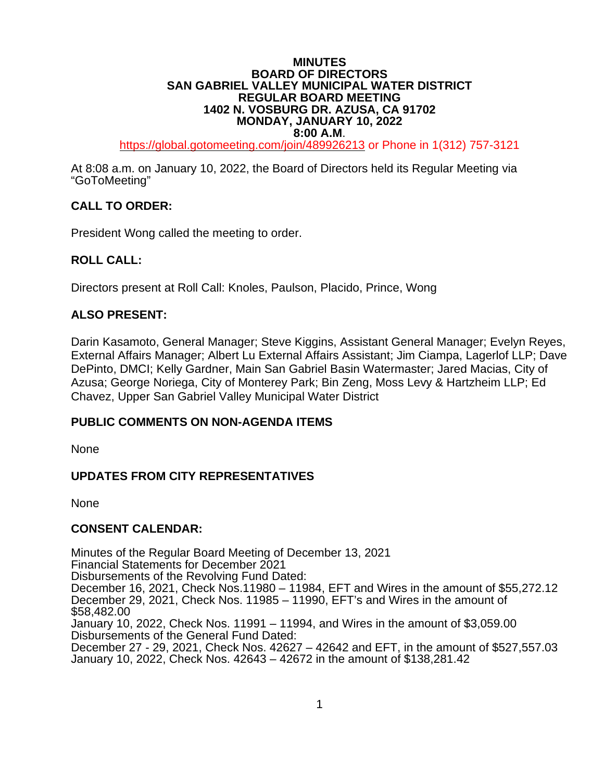### **MINUTES BOARD OF DIRECTORS SAN GABRIEL VALLEY MUNICIPAL WATER DISTRICT REGULAR BOARD MEETING 1402 N. VOSBURG DR. AZUSA, CA 91702 MONDAY, JANUARY 10, 2022**

**8:00 A.M.**<br>121<sup>-137</sup>/13/bal.gotomeeting.com/join/489926213 or Phone in 1(312) 757-3121

At 8:08 a.m. on January 10, 2022, the Board of Directors held its Regular Meeting via "GoToMeeting"

# **CALL TO ORDER:**

President Wong called the meeting to order.

## **ROLL CALL:**

Directors present at Roll Call: Knoles, Paulson, Placido, Prince, Wong

## **ALSO PRESENT:**

Darin Kasamoto, General Manager; Steve Kiggins, Assistant General Manager; Evelyn Reyes, External Affairs Manager; Albert Lu External Affairs Assistant; Jim Ciampa, Lagerlof LLP; Dave DePinto, DMCI; Kelly Gardner, Main San Gabriel Basin Watermaster; Jared Macias, City of Azusa; George Noriega, City of Monterey Park; Bin Zeng, Moss Levy & Hartzheim LLP; Ed Chavez, Upper San Gabriel Valley Municipal Water District

## **PUBLIC COMMENTS ON NON-AGENDA ITEMS**

None

## **UPDATES FROM CITY REPRESENTATIVES**

None

## **CONSENT CALENDAR:**

Minutes of the Regular Board Meeting of December 13, 2021 Financial Statements for December 2021 Disbursements of the Revolving Fund Dated: December 16, 2021, Check Nos.11980 – 11984, EFT and Wires in the amount of \$55,272.12 December 29, 2021, Check Nos. 11985 – 11990, EFT's and Wires in the amount of \$58,482.00 January 10, 2022, Check Nos. 11991 – 11994, and Wires in the amount of \$3,059.00 Disbursements of the General Fund Dated: December 27 - 29, 2021, Check Nos. 42627 – 42642 and EFT, in the amount of \$527,557.03 January 10, 2022, Check Nos. 42643 – 42672 in the amount of \$138,281.42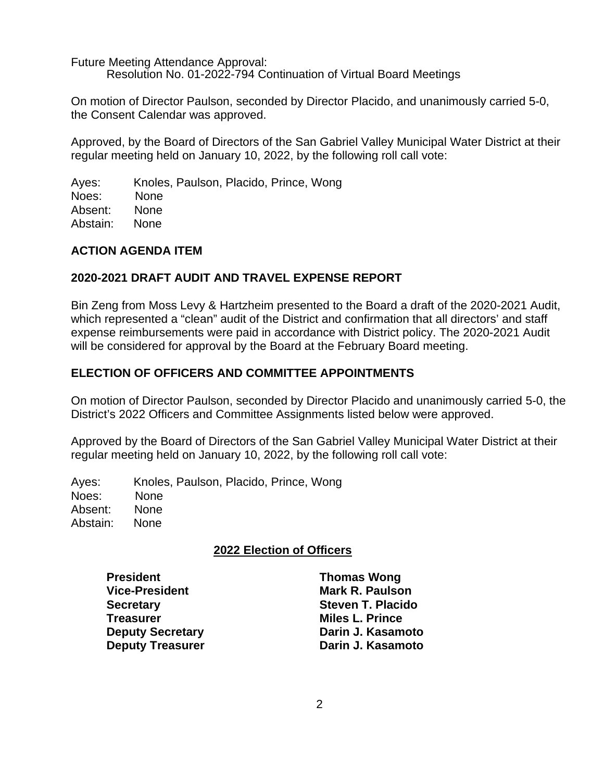Future Meeting Attendance Approval: Resolution No. 01-2022-794 Continuation of Virtual Board Meetings

On motion of Director Paulson, seconded by Director Placido, and unanimously carried 5-0, the Consent Calendar was approved.

Approved, by the Board of Directors of the San Gabriel Valley Municipal Water District at their regular meeting held on January 10, 2022, by the following roll call vote:

Ayes: Knoles, Paulson, Placido, Prince, Wong Noes: None Absent: None Abstain: None

### **ACTION AGENDA ITEM**

### **2020-2021 DRAFT AUDIT AND TRAVEL EXPENSE REPORT**

Bin Zeng from Moss Levy & Hartzheim presented to the Board a draft of the 2020-2021 Audit, which represented a "clean" audit of the District and confirmation that all directors' and staff expense reimbursements were paid in accordance with District policy. The 2020-2021 Audit will be considered for approval by the Board at the February Board meeting.

### **ELECTION OF OFFICERS AND COMMITTEE APPOINTMENTS**

On motion of Director Paulson, seconded by Director Placido and unanimously carried 5-0, the District's 2022 Officers and Committee Assignments listed below were approved.

Approved by the Board of Directors of the San Gabriel Valley Municipal Water District at their regular meeting held on January 10, 2022, by the following roll call vote:

Ayes: Knoles, Paulson, Placido, Prince, Wong Noes: None Absent: None Abstain: None

## **2022 Election of Officers**

**President Thomas Wong Vice-President Mark R. Paulson Secretary Steven T. Placido Deputy Treasurer** 

**Treasurer Miles L. Prince Deputy Secretary Darin J. Kasamoto**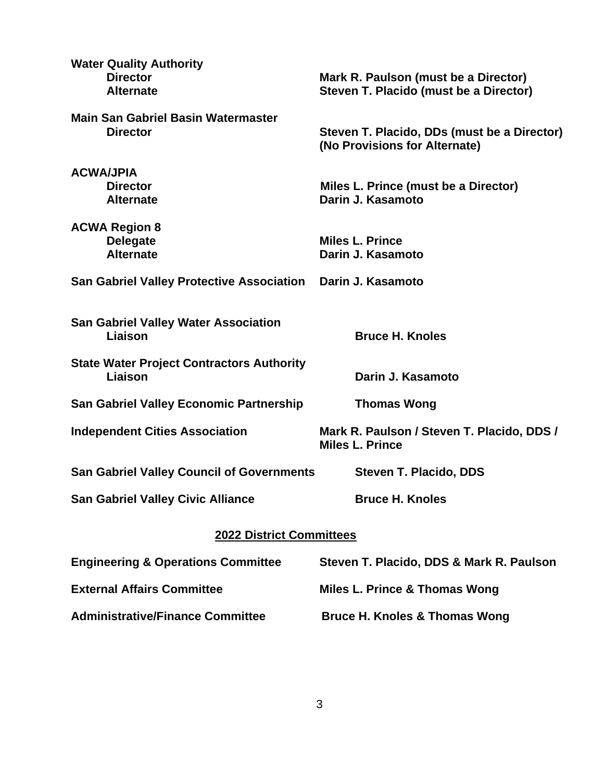| <b>Water Quality Authority</b><br><b>Director</b><br><b>Alternate</b> | Mark R. Paulson (must be a Director)<br>Steven T. Placido (must be a Director) |  |  |  |
|-----------------------------------------------------------------------|--------------------------------------------------------------------------------|--|--|--|
| <b>Main San Gabriel Basin Watermaster</b><br><b>Director</b>          | Steven T. Placido, DDs (must be a Director)<br>(No Provisions for Alternate)   |  |  |  |
| <b>ACWA/JPIA</b><br><b>Director</b><br><b>Alternate</b>               | Miles L. Prince (must be a Director)<br>Darin J. Kasamoto                      |  |  |  |
| <b>ACWA Region 8</b><br><b>Delegate</b><br><b>Alternate</b>           | <b>Miles L. Prince</b><br>Darin J. Kasamoto                                    |  |  |  |
| <b>San Gabriel Valley Protective Association</b>                      | Darin J. Kasamoto                                                              |  |  |  |
| <b>San Gabriel Valley Water Association</b><br>Liaison                | <b>Bruce H. Knoles</b>                                                         |  |  |  |
| <b>State Water Project Contractors Authority</b><br>Liaison           | Darin J. Kasamoto                                                              |  |  |  |
| <b>San Gabriel Valley Economic Partnership</b>                        | <b>Thomas Wong</b>                                                             |  |  |  |
| <b>Independent Cities Association</b>                                 | Mark R. Paulson / Steven T. Placido, DDS /<br><b>Miles L. Prince</b>           |  |  |  |
| <b>San Gabriel Valley Council of Governments</b>                      | <b>Steven T. Placido, DDS</b>                                                  |  |  |  |
| <b>San Gabriel Valley Civic Alliance</b>                              | <b>Bruce H. Knoles</b>                                                         |  |  |  |
| <b>2022 District Committees</b>                                       |                                                                                |  |  |  |
| <b>Engineering &amp; Operations Committee</b>                         | Steven T. Placido, DDS & Mark R. Paulson                                       |  |  |  |
| <b>External Affairs Committee</b>                                     | Miles L. Prince & Thomas Wong                                                  |  |  |  |
| <b>Administrative/Finance Committee</b>                               | <b>Bruce H. Knoles &amp; Thomas Wong</b>                                       |  |  |  |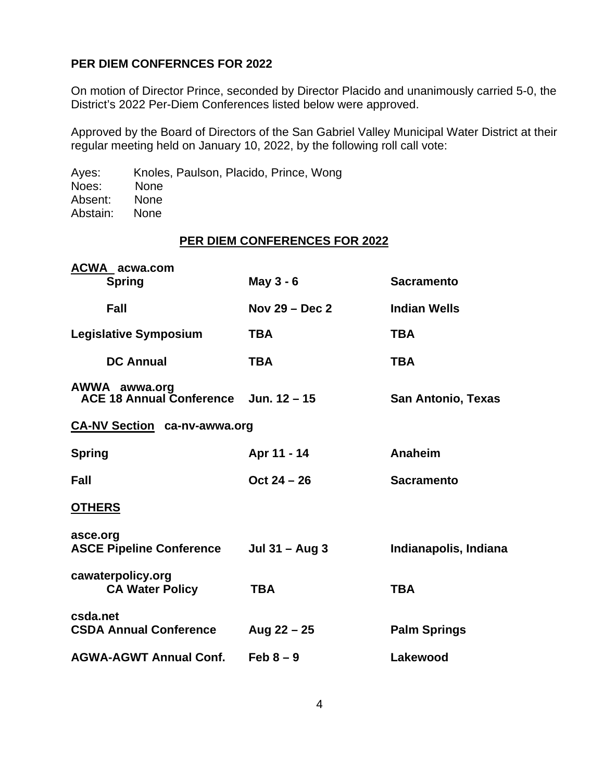### **PER DIEM CONFERNCES FOR 2022**

On motion of Director Prince, seconded by Director Placido and unanimously carried 5-0, the District's 2022 Per-Diem Conferences listed below were approved.

Approved by the Board of Directors of the San Gabriel Valley Municipal Water District at their regular meeting held on January 10, 2022, by the following roll call vote:

Ayes: Knoles, Paulson, Placido, Prince, Wong Noes: None<br>Absent: None Absent: None<br>Abstain: None Abstain:

### **PER DIEM CONFERENCES FOR 2022**

| <b>ACWA</b> acwa.com                                   |                  |                           |
|--------------------------------------------------------|------------------|---------------------------|
| <b>Spring</b>                                          | May 3 - 6        | <b>Sacramento</b>         |
| Fall                                                   | Nov $29 - Dec 2$ | <b>Indian Wells</b>       |
| <b>Legislative Symposium</b>                           | <b>TBA</b>       | <b>TBA</b>                |
| <b>DC Annual</b>                                       | <b>TBA</b>       | <b>TBA</b>                |
| AWWA awwa.org<br>ACE 18 Annual Conference Jun. 12 - 15 |                  | <b>San Antonio, Texas</b> |
| <b>CA-NV Section ca-nv-awwa.org</b>                    |                  |                           |
| <b>Spring</b>                                          | Apr 11 - 14      | Anaheim                   |
| Fall                                                   | $Oct 24 - 26$    | <b>Sacramento</b>         |
| <b>OTHERS</b>                                          |                  |                           |
| asce.org<br><b>ASCE Pipeline Conference</b>            | Jul $31 -$ Aug 3 | Indianapolis, Indiana     |
| cawaterpolicy.org<br><b>CA Water Policy</b>            | <b>TBA</b>       | <b>TBA</b>                |
| csda.net<br><b>CSDA Annual Conference</b>              | Aug $22 - 25$    | <b>Palm Springs</b>       |
| <b>AGWA-AGWT Annual Conf.</b>                          | Feb $8-9$        | Lakewood                  |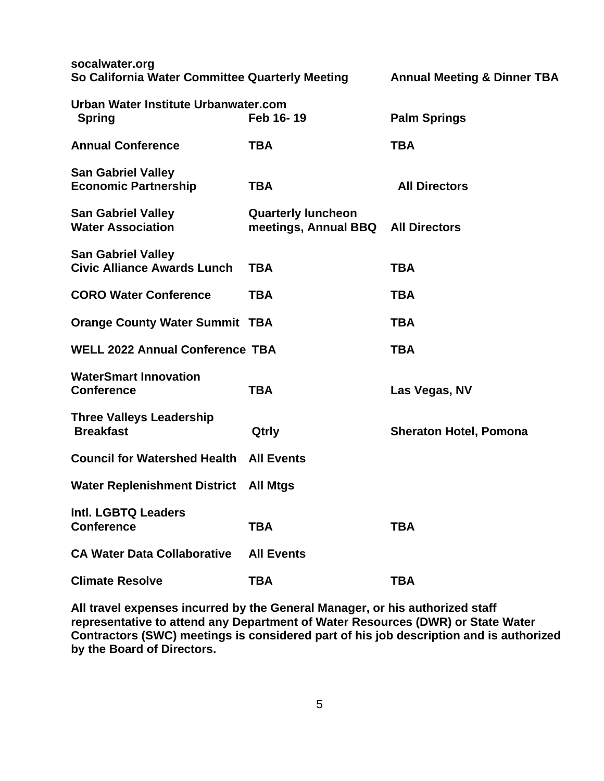| socalwater.org<br>So California Water Committee Quarterly Meeting |                                                   | <b>Annual Meeting &amp; Dinner TBA</b> |
|-------------------------------------------------------------------|---------------------------------------------------|----------------------------------------|
| <b>Urban Water Institute Urbanwater.com</b><br><b>Spring</b>      | Feb 16-19                                         | <b>Palm Springs</b>                    |
| <b>Annual Conference</b>                                          | <b>TBA</b>                                        | <b>TBA</b>                             |
| <b>San Gabriel Valley</b><br><b>Economic Partnership</b>          | <b>TBA</b>                                        | <b>All Directors</b>                   |
| <b>San Gabriel Valley</b><br><b>Water Association</b>             | <b>Quarterly luncheon</b><br>meetings, Annual BBQ | <b>All Directors</b>                   |
| <b>San Gabriel Valley</b><br><b>Civic Alliance Awards Lunch</b>   | <b>TBA</b>                                        | <b>TBA</b>                             |
| <b>CORO Water Conference</b>                                      | <b>TBA</b>                                        | <b>TBA</b>                             |
| <b>Orange County Water Summit TBA</b>                             |                                                   | <b>TBA</b>                             |
| <b>WELL 2022 Annual Conference TBA</b>                            |                                                   | <b>TBA</b>                             |
| <b>WaterSmart Innovation</b><br><b>Conference</b>                 | <b>TBA</b>                                        | Las Vegas, NV                          |
| <b>Three Valleys Leadership</b><br><b>Breakfast</b>               | Qtrly                                             | <b>Sheraton Hotel, Pomona</b>          |
| <b>Council for Watershed Health All Events</b>                    |                                                   |                                        |
| <b>Water Replenishment District</b>                               | <b>All Mtgs</b>                                   |                                        |
| Intl. LGBTQ Leaders<br><b>Conference</b>                          | <b>TBA</b>                                        | TBA                                    |
| <b>CA Water Data Collaborative</b>                                | <b>All Events</b>                                 |                                        |
| <b>Climate Resolve</b>                                            | <b>TBA</b>                                        | <b>TBA</b>                             |

**All travel expenses incurred by the General Manager, or his authorized staff representative to attend any Department of Water Resources (DWR) or State Water Contractors (SWC) meetings is considered part of his job description and is authorized by the Board of Directors.**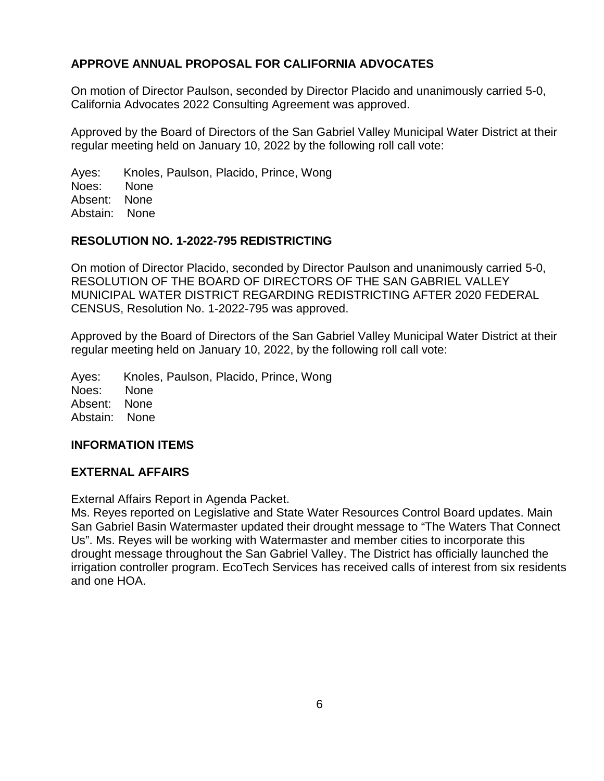# **APPROVE ANNUAL PROPOSAL FOR CALIFORNIA ADVOCATES**

On motion of Director Paulson, seconded by Director Placido and unanimously carried 5-0, California Advocates 2022 Consulting Agreement was approved.

Approved by the Board of Directors of the San Gabriel Valley Municipal Water District at their regular meeting held on January 10, 2022 by the following roll call vote:

Ayes: Knoles, Paulson, Placido, Prince, Wong Noes: None Absent: None Abstain: None

### **RESOLUTION NO. 1-2022-795 REDISTRICTING**

On motion of Director Placido, seconded by Director Paulson and unanimously carried 5-0, RESOLUTION OF THE BOARD OF DIRECTORS OF THE SAN GABRIEL VALLEY MUNICIPAL WATER DISTRICT REGARDING REDISTRICTING AFTER 2020 FEDERAL CENSUS, Resolution No. 1-2022-795 was approved.

Approved by the Board of Directors of the San Gabriel Valley Municipal Water District at their regular meeting held on January 10, 2022, by the following roll call vote:

Ayes: Knoles, Paulson, Placido, Prince, Wong Noes: None Absent: None Abstain: None

## **INFORMATION ITEMS**

### **EXTERNAL AFFAIRS**

External Affairs Report in Agenda Packet.

Ms. Reyes reported on Legislative and State Water Resources Control Board updates. Main San Gabriel Basin Watermaster updated their drought message to "The Waters That Connect Us". Ms. Reyes will be working with Watermaster and member cities to incorporate this drought message throughout the San Gabriel Valley. The District has officially launched the irrigation controller program. EcoTech Services has received calls of interest from six residents and one HOA.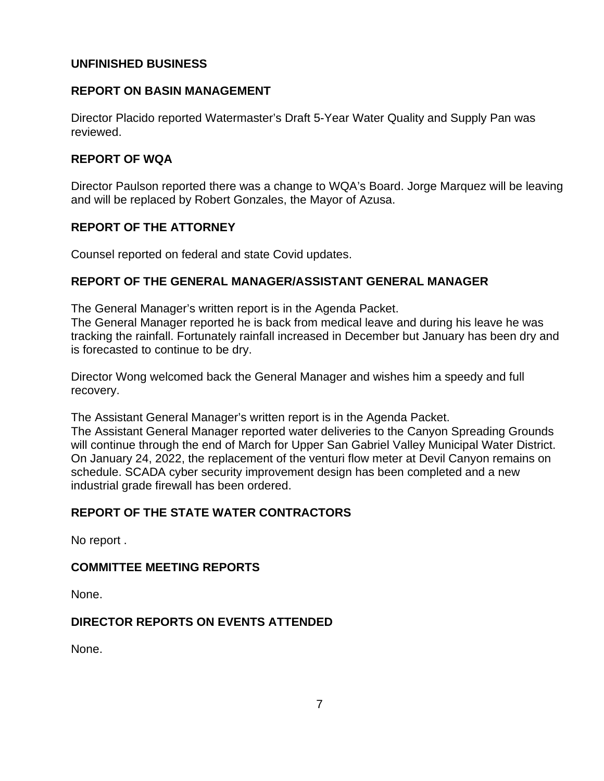## **UNFINISHED BUSINESS**

# **REPORT ON BASIN MANAGEMENT**

Director Placido reported Watermaster's Draft 5-Year Water Quality and Supply Pan was reviewed.

# **REPORT OF WQA**

Director Paulson reported there was a change to WQA's Board. Jorge Marquez will be leaving and will be replaced by Robert Gonzales, the Mayor of Azusa.

# **REPORT OF THE ATTORNEY**

Counsel reported on federal and state Covid updates.

# **REPORT OF THE GENERAL MANAGER/ASSISTANT GENERAL MANAGER**

The General Manager's written report is in the Agenda Packet.

The General Manager reported he is back from medical leave and during his leave he was tracking the rainfall. Fortunately rainfall increased in December but January has been dry and is forecasted to continue to be dry.

Director Wong welcomed back the General Manager and wishes him a speedy and full recovery.

The Assistant General Manager's written report is in the Agenda Packet.

The Assistant General Manager reported water deliveries to the Canyon Spreading Grounds will continue through the end of March for Upper San Gabriel Valley Municipal Water District. On January 24, 2022, the replacement of the venturi flow meter at Devil Canyon remains on schedule. SCADA cyber security improvement design has been completed and a new industrial grade firewall has been ordered.

# **REPORT OF THE STATE WATER CONTRACTORS**

No report .

# **COMMITTEE MEETING REPORTS**

None.

# **DIRECTOR REPORTS ON EVENTS ATTENDED**

None.